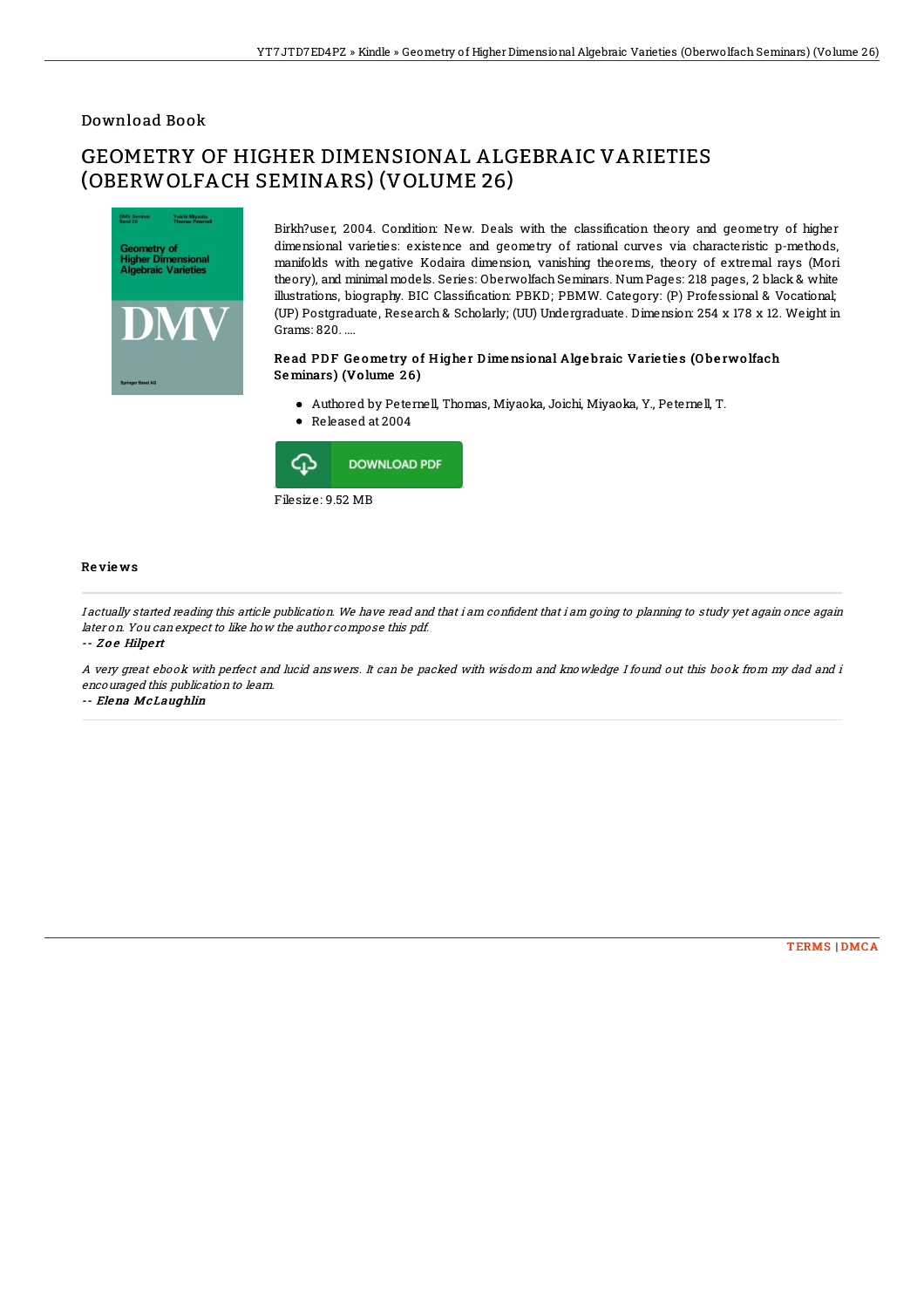### Download Book

# GEOMETRY OF HIGHER DIMENSIONAL ALGEBRAIC VARIETIES (OBERWOLFACH SEMINARS) (VOLUME 26)



Birkh?user, 2004. Condition: New. Deals with the classification theory and geometry of higher dimensional varieties: existence and geometry of rational curves via characteristic p-methods, manifolds with negative Kodaira dimension, vanishing theorems, theory of extremal rays (Mori theory), and minimal models. Series: Oberwolfach Seminars. NumPages: 218 pages, 2 black & white illustrations, biography. BIC Classification: PBKD; PBMW. Category: (P) Professional & Vocational; (UP) Postgraduate, Research & Scholarly; (UU) Undergraduate. Dimension: 254 x 178 x 12. Weight in Grams: 820. ....

#### Read PDF Geometry of Higher Dimensional Algebraic Varieties (Oberwolfach Seminars) (Volume 26)

- Authored by Peternell, Thomas, Miyaoka, Joichi, Miyaoka, Y., Peternell, T.
- Released at 2004



#### Re vie ws

I actually started reading this article publication. We have read and that i am confident that i am going to planning to study yet again once again later on. You can expect to like how the author compose this pdf.

-- Zoe Hilpert

A very great ebook with perfect and lucid answers. It can be packed with wisdom and knowledge I found out this book from my dad and i encouraged this publication to learn.

-- Elena McLaughlin